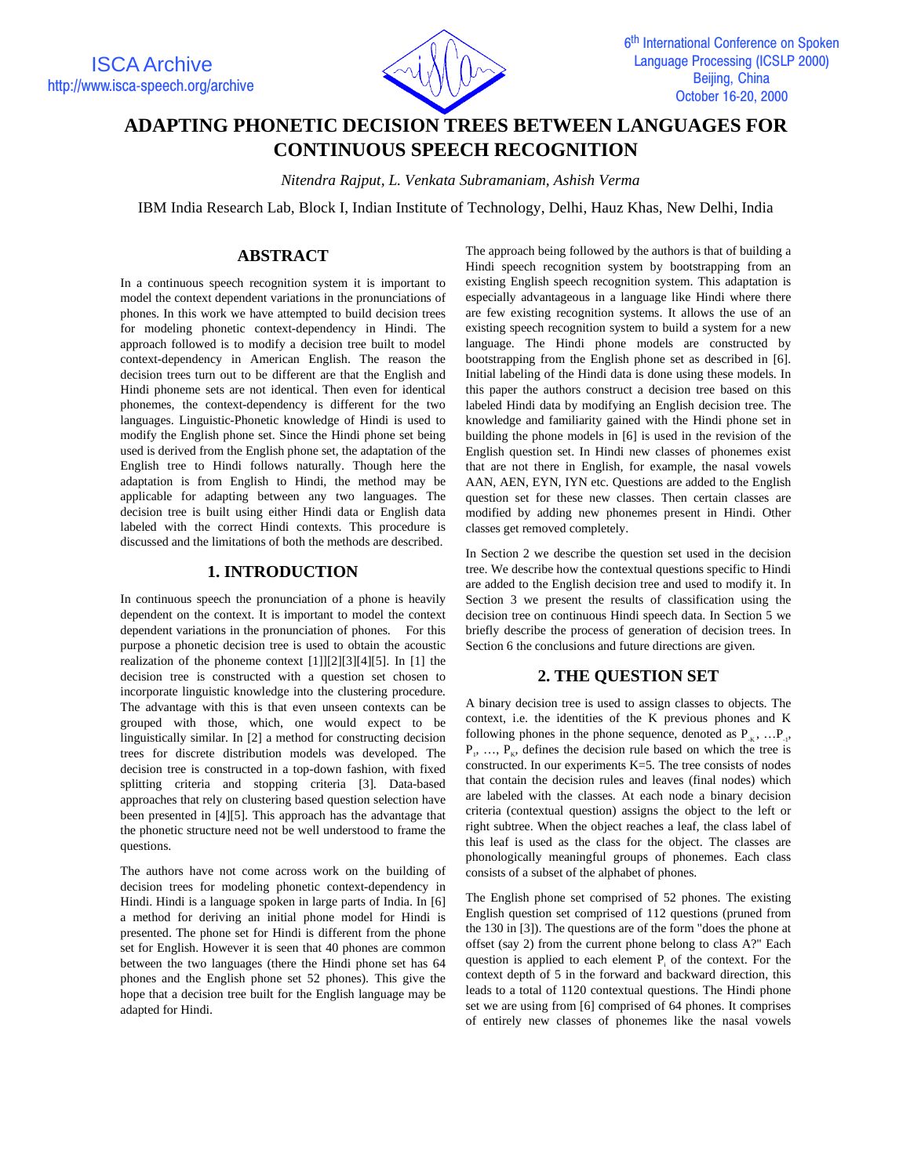

# **ADAPTING PHONETIC DECISION TREES BETWEEN LANGUAGES FOR CONTINUOUS SPEECH RECOGNITION**

*Nitendra Rajput, L. Venkata Subramaniam, Ashish Verma*

IBM India Research Lab, Block I, Indian Institute of Technology, Delhi, Hauz Khas, New Delhi, India

## **ABSTRACT**

In a continuous speech recognition system it is important to model the context dependent variations in the pronunciations of phones. In this work we have attempted to build decision trees for modeling phonetic context-dependency in Hindi. The approach followed is to modify a decision tree built to model context-dependency in American English. The reason the decision trees turn out to be different are that the English and Hindi phoneme sets are not identical. Then even for identical phonemes, the context-dependency is different for the two languages. Linguistic-Phonetic knowledge of Hindi is used to modify the English phone set. Since the Hindi phone set being used is derived from the English phone set, the adaptation of the English tree to Hindi follows naturally. Though here the adaptation is from English to Hindi, the method may be applicable for adapting between any two languages. The decision tree is built using either Hindi data or English data labeled with the correct Hindi contexts. This procedure is discussed and the limitations of both the methods are described.

### **1. INTRODUCTION**

In continuous speech the pronunciation of a phone is heavily dependent on the context. It is important to model the context dependent variations in the pronunciation of phones. For this purpose a phonetic decision tree is used to obtain the acoustic realization of the phoneme context [1]][2][3][4][5]. In [1] the decision tree is constructed with a question set chosen to incorporate linguistic knowledge into the clustering procedure. The advantage with this is that even unseen contexts can be grouped with those, which, one would expect to be linguistically similar. In [2] a method for constructing decision trees for discrete distribution models was developed. The decision tree is constructed in a top-down fashion, with fixed splitting criteria and stopping criteria [3]. Data-based approaches that rely on clustering based question selection have been presented in [4][5]. This approach has the advantage that the phonetic structure need not be well understood to frame the questions.

The authors have not come across work on the building of decision trees for modeling phonetic context-dependency in Hindi. Hindi is a language spoken in large parts of India. In [6] a method for deriving an initial phone model for Hindi is presented. The phone set for Hindi is different from the phone set for English. However it is seen that 40 phones are common between the two languages (there the Hindi phone set has 64 phones and the English phone set 52 phones). This give the hope that a decision tree built for the English language may be adapted for Hindi.

The approach being followed by the authors is that of building a Hindi speech recognition system by bootstrapping from an existing English speech recognition system. This adaptation is especially advantageous in a language like Hindi where there are few existing recognition systems. It allows the use of an existing speech recognition system to build a system for a new language. The Hindi phone models are constructed by bootstrapping from the English phone set as described in [6]. Initial labeling of the Hindi data is done using these models. In this paper the authors construct a decision tree based on this labeled Hindi data by modifying an English decision tree. The knowledge and familiarity gained with the Hindi phone set in building the phone models in [6] is used in the revision of the English question set. In Hindi new classes of phonemes exist that are not there in English, for example, the nasal vowels AAN, AEN, EYN, IYN etc. Questions are added to the English question set for these new classes. Then certain classes are modified by adding new phonemes present in Hindi. Other classes get removed completely.

In Section 2 we describe the question set used in the decision tree. We describe how the contextual questions specific to Hindi are added to the English decision tree and used to modify it. In Section 3 we present the results of classification using the decision tree on continuous Hindi speech data. In Section 5 we briefly describe the process of generation of decision trees. In Section 6 the conclusions and future directions are given.

### **2. THE QUESTION SET**

A binary decision tree is used to assign classes to objects. The context, i.e. the identities of the K previous phones and K following phones in the phone sequence, denoted as  $P_{K}$ , ... $P_{.1}$ ,  $P_1, \ldots, P_k$ , defines the decision rule based on which the tree is constructed. In our experiments K=5. The tree consists of nodes that contain the decision rules and leaves (final nodes) which are labeled with the classes. At each node a binary decision criteria (contextual question) assigns the object to the left or right subtree. When the object reaches a leaf, the class label of this leaf is used as the class for the object. The classes are phonologically meaningful groups of phonemes. Each class consists of a subset of the alphabet of phones.

The English phone set comprised of 52 phones. The existing English question set comprised of 112 questions (pruned from the 130 in [3]). The questions are of the form "does the phone at offset (say 2) from the current phone belong to class A?" Each question is applied to each element  $P_i$  of the context. For the context depth of 5 in the forward and backward direction, this leads to a total of 1120 contextual questions. The Hindi phone set we are using from [6] comprised of 64 phones. It comprises of entirely new classes of phonemes like the nasal vowels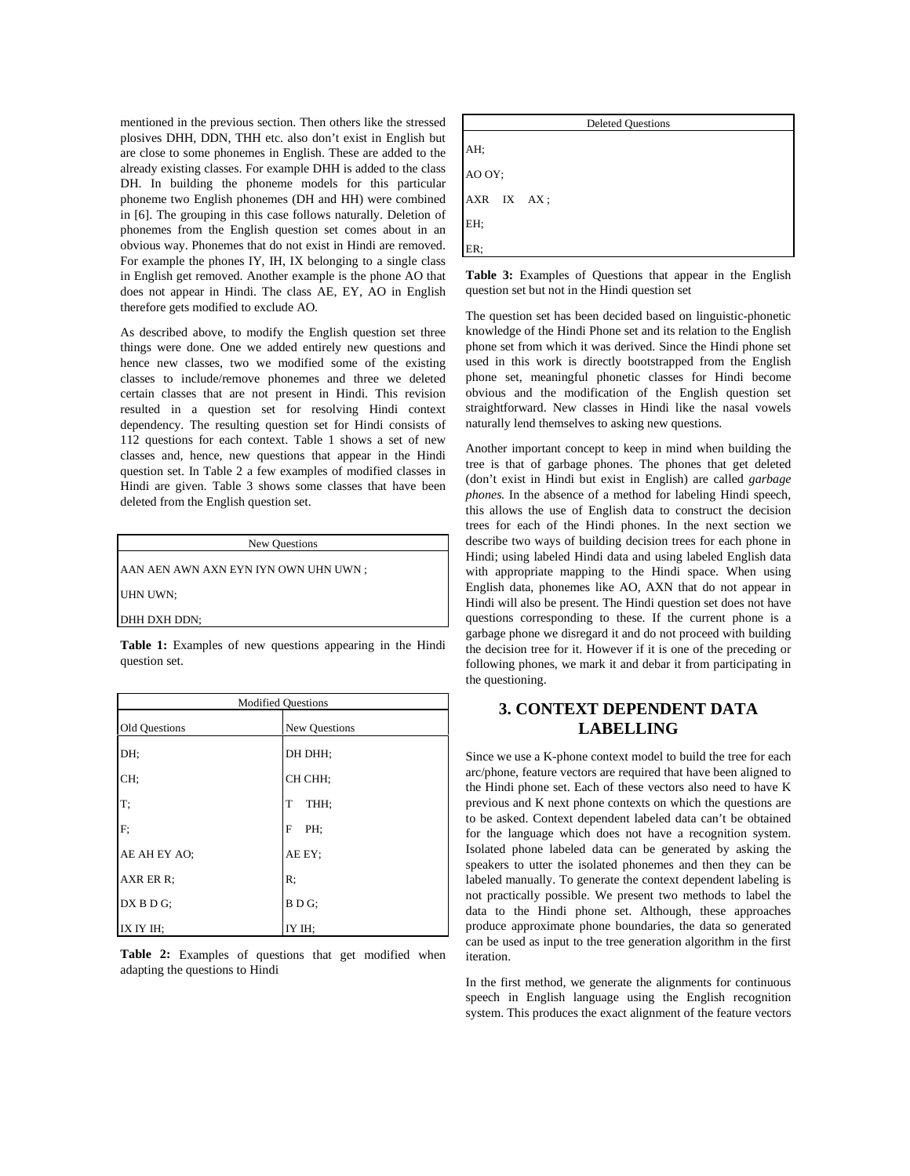mentioned in the previous section. Then others like the stressed plosives DHH, DDN, THH etc. also don't exist in English but are close to some phonemes in English. These are added to the already existing classes. For example DHH is added to the class DH. In building the phoneme models for this particular phoneme two English phonemes (DH and HH) were combined in [6]. The grouping in this case follows naturally. Deletion of phonemes from the English question set comes about in an obvious way. Phonemes that do not exist in Hindi are removed. For example the phones IY, IH, IX belonging to a single class in English get removed. Another example is the phone AO that does not appear in Hindi. The class AE, EY, AO in English therefore gets modified to exclude AO.

As described above, to modify the English question set three things were done. One we added entirely new questions and hence new classes, two we modified some of the existing classes to include/remove phonemes and three we deleted certain classes that are not present in Hindi. This revision resulted in a question set for resolving Hindi context dependency. The resulting question set for Hindi consists of 112 questions for each context. Table 1 shows a set of new classes and, hence, new questions that appear in the Hindi question set. In Table 2 a few examples of modified classes in Hindi are given. Table 3 shows some classes that have been deleted from the English question set.

| New Questions                        |  |
|--------------------------------------|--|
| AAN AEN AWN AXN EYN IYN OWN UHN UWN; |  |
| UHN UWN;                             |  |
| DHH DXH DDN;                         |  |

**Table 1:** Examples of new questions appearing in the Hindi question set.

| <b>Modified Questions</b> |               |  |
|---------------------------|---------------|--|
| Old Questions             | New Questions |  |
| DH:                       | DH DHH:       |  |
| CH:                       | CH CHH;       |  |
| T;                        | T<br>THH;     |  |
| F;                        | F<br>PH:      |  |
| AE AH EY AO;              | AE EY:        |  |
| AXR ER R:                 | R:            |  |
| DX B D G;                 | BDG:          |  |
| IX IY IH:                 | IY IH:        |  |

**Table 2:** Examples of questions that get modified when adapting the questions to Hindi



**Table 3:** Examples of Questions that appear in the English question set but not in the Hindi question set

The question set has been decided based on linguistic-phonetic knowledge of the Hindi Phone set and its relation to the English phone set from which it was derived. Since the Hindi phone set used in this work is directly bootstrapped from the English phone set, meaningful phonetic classes for Hindi become obvious and the modification of the English question set straightforward. New classes in Hindi like the nasal vowels naturally lend themselves to asking new questions.

Another important concept to keep in mind when building the tree is that of garbage phones. The phones that get deleted (don't exist in Hindi but exist in English) are called *garbage phones.* In the absence of a method for labeling Hindi speech, this allows the use of English data to construct the decision trees for each of the Hindi phones. In the next section we describe two ways of building decision trees for each phone in Hindi; using labeled Hindi data and using labeled English data with appropriate mapping to the Hindi space. When using English data, phonemes like AO, AXN that do not appear in Hindi will also be present. The Hindi question set does not have questions corresponding to these. If the current phone is a garbage phone we disregard it and do not proceed with building the decision tree for it. However if it is one of the preceding or following phones, we mark it and debar it from participating in the questioning.

# **3. CONTEXT DEPENDENT DATA LABELLING**

Since we use a K-phone context model to build the tree for each arc/phone, feature vectors are required that have been aligned to the Hindi phone set. Each of these vectors also need to have K previous and K next phone contexts on which the questions are to be asked. Context dependent labeled data can't be obtained for the language which does not have a recognition system. Isolated phone labeled data can be generated by asking the speakers to utter the isolated phonemes and then they can be labeled manually. To generate the context dependent labeling is not practically possible. We present two methods to label the data to the Hindi phone set. Although, these approaches produce approximate phone boundaries, the data so generated can be used as input to the tree generation algorithm in the first iteration.

In the first method, we generate the alignments for continuous speech in English language using the English recognition system. This produces the exact alignment of the feature vectors